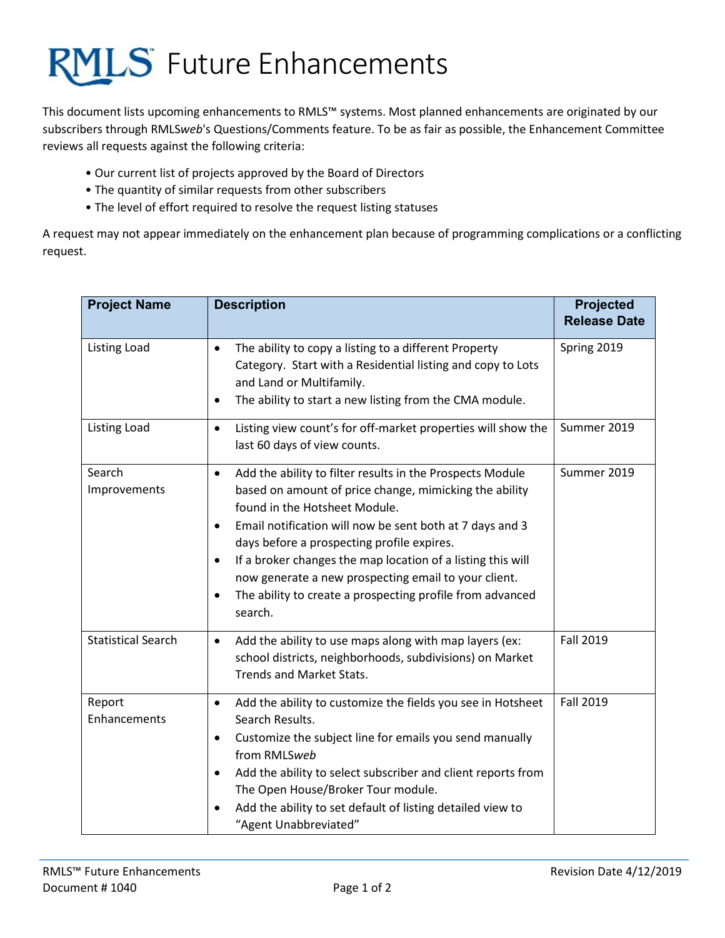

This document lists upcoming enhancements to RMLS™ systems. Most planned enhancements are originated by our subscribers through RMLS*web*'s Questions/Comments feature. To be as fair as possible, the Enhancement Committee reviews all requests against the following criteria:

- Our current list of projects approved by the Board of Directors
- The quantity of similar requests from other subscribers
- The level of effort required to resolve the request listing statuses

A request may not appear immediately on the enhancement plan because of programming complications or a conflicting request.

| <b>Project Name</b>       | <b>Description</b>                                                                                                                                                                                                                                                                                                                                                                                                                                                                                                | <b>Projected</b><br><b>Release Date</b> |
|---------------------------|-------------------------------------------------------------------------------------------------------------------------------------------------------------------------------------------------------------------------------------------------------------------------------------------------------------------------------------------------------------------------------------------------------------------------------------------------------------------------------------------------------------------|-----------------------------------------|
| <b>Listing Load</b>       | The ability to copy a listing to a different Property<br>$\bullet$<br>Category. Start with a Residential listing and copy to Lots<br>and Land or Multifamily.<br>The ability to start a new listing from the CMA module.<br>$\bullet$                                                                                                                                                                                                                                                                             | Spring 2019                             |
| <b>Listing Load</b>       | Listing view count's for off-market properties will show the<br>$\bullet$<br>last 60 days of view counts.                                                                                                                                                                                                                                                                                                                                                                                                         | Summer 2019                             |
| Search<br>Improvements    | Add the ability to filter results in the Prospects Module<br>$\bullet$<br>based on amount of price change, mimicking the ability<br>found in the Hotsheet Module.<br>Email notification will now be sent both at 7 days and 3<br>$\bullet$<br>days before a prospecting profile expires.<br>If a broker changes the map location of a listing this will<br>$\bullet$<br>now generate a new prospecting email to your client.<br>The ability to create a prospecting profile from advanced<br>$\bullet$<br>search. | Summer 2019                             |
| <b>Statistical Search</b> | Add the ability to use maps along with map layers (ex:<br>$\bullet$<br>school districts, neighborhoods, subdivisions) on Market<br><b>Trends and Market Stats.</b>                                                                                                                                                                                                                                                                                                                                                | Fall 2019                               |
| Report<br>Enhancements    | Add the ability to customize the fields you see in Hotsheet<br>$\bullet$<br>Search Results.<br>Customize the subject line for emails you send manually<br>$\bullet$<br>from RMLSweb<br>Add the ability to select subscriber and client reports from<br>$\bullet$<br>The Open House/Broker Tour module.<br>Add the ability to set default of listing detailed view to<br>"Agent Unabbreviated"                                                                                                                     | <b>Fall 2019</b>                        |